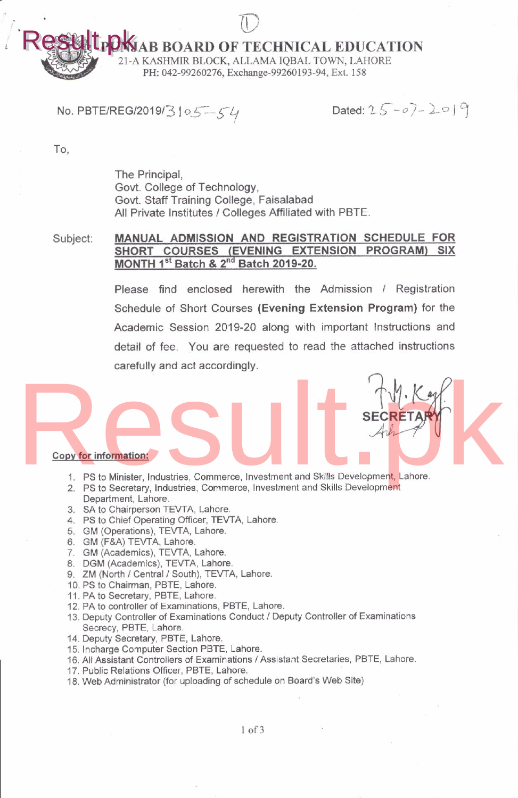$\bigcup$ **LPONJAB BOARD OF TECHNICAL EDUCATION** Result.pk

21-A KASHMIR BLOCK, ALLAMA IQBAL TOWN, LAHORE PH: 042-99260276, Exchange-99260193-94, Ext. 158

# No. PBTE/REG/2019/3 |  $0.5 - 54$

Dated:  $25 - 07 - 209$ 

 $\frac{1}{2}$ 

SECRET

To,

esult

The Principal, Govt. College of Technology, Govt. Staff Training College, Faisalabad All Private Institutes / Colleges Affiliated with PBTE.

#### Subject: MANUAL ADMISSION AND REGISTRATION SCHEDULE FOR SHORT COURSES (EVENING EXTENSION PROGRAM) SIX MONTH 1st Batch & 2<sup>nd</sup> Batch 2019-20.

Please find enclosed herewith the Admission / Registration Schedule of Short Courses (Evening Extension Program) for the Academic Session 2019-20 along with important Instructions and detail of fee. You are requested to read the attached instructions carefully and act accordingly.

#### copv for infomation:

- 1. PS to Minister, Industries, Commerce, lnvestment and Skills Development, Lahore. Copy for information:<br>
1. PS to Minister, Industries, Commerce, Investment and Skills Development, Lahore.
	- 2. PS to Secretary, Industries, Commerce, Investment and Skills Development Department, Lahore.
	- 3. SA to Chairperson TEWA, Lahore.
	- 4. PS to Chief Operating Officer, TEVTA, Lahore.
	- 5. GM (Operations), TEVTA, Lahore.
	- 6. GM (F&A) TEWA, Lahore.
	- 7. GM (Academics), TEVTA, Lahore.
	- 8. DGM (Academics), TEVTA, Lahore.
	- 9. ZM (North / Central / South), TEVTA, Lahore.
	- 10. PS to Chairman. PBTE. Lahore.
	- 11. PA to Secretary, PBTE, Lahore.
	- 12. PA to controller of Examinations, PBTE, Lahore.
	- '13. Deputy Controller of Examinations Conduct / Deputy Controller of Examjnations Secrecy, PBTE, Lahore.
	- 14. Deputy Secretary, PBTE, Lahore.
	- 15. Incharge computer Section PBTE, Lahore.
	- 16. All Assistant Controllers of Examinations / Assistant Secretaries, PBTE, Lahore.
	- 17. Public Relations officer, PBTE, Lahore.
	- 18. Web Administrator (for uploading of schedule on Board's Web Site)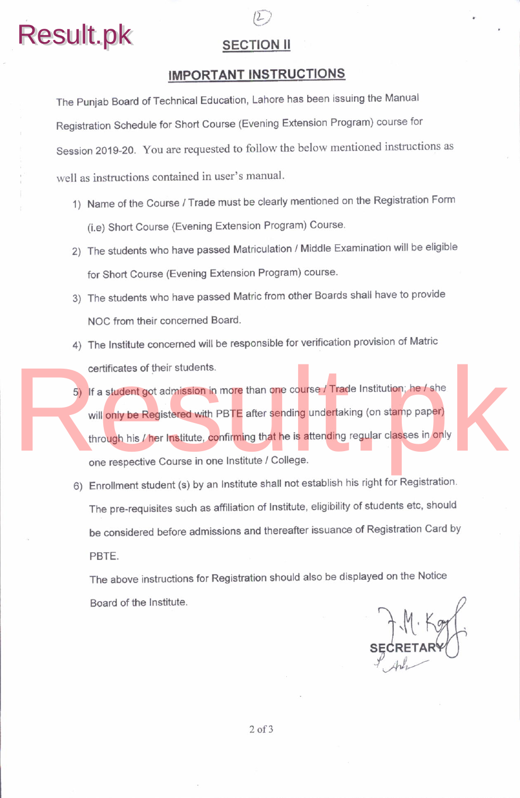

**SECTION II** 

# IMPORTANT INSTRUCTIONS

The Punjab Board of Technical Education, Lahore has been issuing the Manual Registration Schedule for Short Course (Evening Extension Program) course for Session 2019-20. You are requested to follow the below mentioned instructions as well as instructions contained in user's manual.

- 1) Name of the Course / Trade must be clearly mentioned on the Registration Form (i.e) Short Course (Evening Extension Program) Course
- 2) The students who have passed Matriculation / Middle Examination will be eligible for Short Course (Evening Extension Program) course
- 3) The students who have passed Matric from other Boards shall have to provide NOC from their concemed Board
- 4) The Institute concerned will be responsible for verification provision of Matric certificates of their students.
- 5) lf a student got admission in more than one course / Trade Institution; he / she will only be Registered with PBTE after sending undertaking (on stamp paper) through his / her Institute, confirming that he is attending regular classes in only one respective Course in one Institute / College. certificates of their students.<br>
5) If a student got admission in more than one course / Trade Institution; he / she<br>
will only be Registered with PBTE after sending undertaking (on stamp paper)<br>
through his / her Institut
	- 6) Enrollment student (s) by an Institute shall not establish his right for Registration The pre-requisites such as affiliation of Institute, eligibility of students etc, should be considered before admissions and thereafter issuance of Registration Card by PBTE.

The above instructions for Regislration should also be displayed on the Notice Board of the Institute.